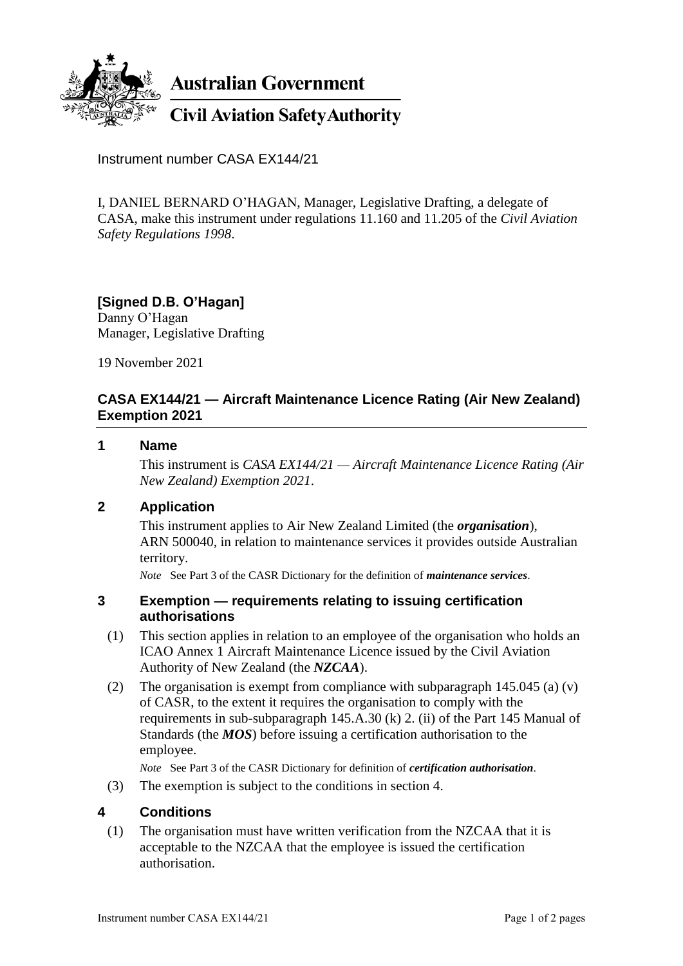

**Australian Government** 

**Civil Aviation Safety Authority** 

Instrument number CASA EX144/21

I, DANIEL BERNARD O'HAGAN, Manager, Legislative Drafting, a delegate of CASA, make this instrument under regulations 11.160 and 11.205 of the *Civil Aviation Safety Regulations 1998*.

#### **[Signed D.B. O'Hagan]** Danny O'Hagan

Manager, Legislative Drafting

19 November 2021

# **CASA EX144/21 — Aircraft Maintenance Licence Rating (Air New Zealand) Exemption 2021**

#### **1 Name**

This instrument is *CASA EX144/21 — Aircraft Maintenance Licence Rating (Air New Zealand) Exemption 2021*.

# **2 Application**

This instrument applies to Air New Zealand Limited (the *organisation*), ARN 500040, in relation to maintenance services it provides outside Australian territory.

*Note* See Part 3 of the CASR Dictionary for the definition of *maintenance services*.

### **3 Exemption — requirements relating to issuing certification authorisations**

- (1) This section applies in relation to an employee of the organisation who holds an ICAO Annex 1 Aircraft Maintenance Licence issued by the Civil Aviation Authority of New Zealand (the *NZCAA*).
- (2) The organisation is exempt from compliance with subparagraph 145.045 (a) (v) of CASR, to the extent it requires the organisation to comply with the requirements in sub-subparagraph 145.A.30 (k) 2. (ii) of the Part 145 Manual of Standards (the *MOS*) before issuing a certification authorisation to the employee.

*Note* See Part 3 of the CASR Dictionary for definition of *certification authorisation*.

(3) The exemption is subject to the conditions in section 4.

# **4 Conditions**

(1) The organisation must have written verification from the NZCAA that it is acceptable to the NZCAA that the employee is issued the certification authorisation.